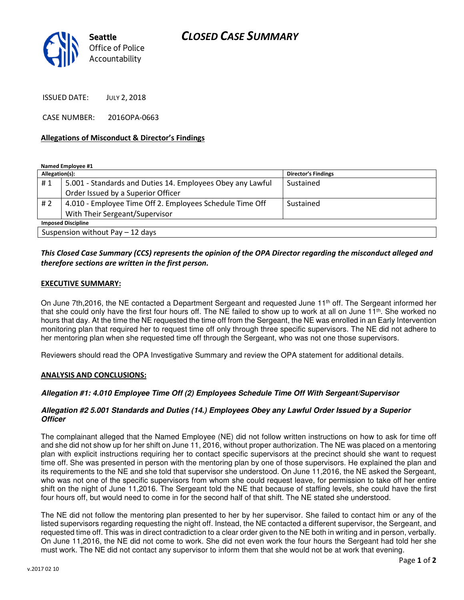# CLOSED CASE SUMMARY



ISSUED DATE: JULY 2, 2018

CASE NUMBER: 2016OPA-0663

## Allegations of Misconduct & Director's Findings

Named Employee #1

| Allegation(s):                   |                                                            | <b>Director's Findings</b> |
|----------------------------------|------------------------------------------------------------|----------------------------|
| #1                               | 5.001 - Standards and Duties 14. Employees Obey any Lawful | Sustained                  |
|                                  | Order Issued by a Superior Officer                         |                            |
| # 2                              | 4.010 - Employee Time Off 2. Employees Schedule Time Off   | Sustained                  |
|                                  | With Their Sergeant/Supervisor                             |                            |
| <b>Imposed Discipline</b>        |                                                            |                            |
| Suspension without Pay - 12 days |                                                            |                            |

# This Closed Case Summary (CCS) represents the opinion of the OPA Director regarding the misconduct alleged and therefore sections are written in the first person.

### EXECUTIVE SUMMARY:

On June 7th, 2016, the NE contacted a Department Sergeant and requested June 11<sup>th</sup> off. The Sergeant informed her that she could only have the first four hours off. The NE failed to show up to work at all on June 11<sup>th</sup>. She worked no hours that day. At the time the NE requested the time off from the Sergeant, the NE was enrolled in an Early Intervention monitoring plan that required her to request time off only through three specific supervisors. The NE did not adhere to her mentoring plan when she requested time off through the Sergeant, who was not one those supervisors.

Reviewers should read the OPA Investigative Summary and review the OPA statement for additional details.

#### ANALYSIS AND CONCLUSIONS:

# **Allegation #1: 4.010 Employee Time Off (2) Employees Schedule Time Off With Sergeant/Supervisor**

### **Allegation #2 5.001 Standards and Duties (14.) Employees Obey any Lawful Order Issued by a Superior Officer**

The complainant alleged that the Named Employee (NE) did not follow written instructions on how to ask for time off and she did not show up for her shift on June 11, 2016, without proper authorization. The NE was placed on a mentoring plan with explicit instructions requiring her to contact specific supervisors at the precinct should she want to request time off. She was presented in person with the mentoring plan by one of those supervisors. He explained the plan and its requirements to the NE and she told that supervisor she understood. On June 11,2016, the NE asked the Sergeant, who was not one of the specific supervisors from whom she could request leave, for permission to take off her entire shift on the night of June 11,2016. The Sergeant told the NE that because of staffing levels, she could have the first four hours off, but would need to come in for the second half of that shift. The NE stated she understood.

The NE did not follow the mentoring plan presented to her by her supervisor. She failed to contact him or any of the listed supervisors regarding requesting the night off. Instead, the NE contacted a different supervisor, the Sergeant, and requested time off. This was in direct contradiction to a clear order given to the NE both in writing and in person, verbally. On June 11,2016, the NE did not come to work. She did not even work the four hours the Sergeant had told her she must work. The NE did not contact any supervisor to inform them that she would not be at work that evening.